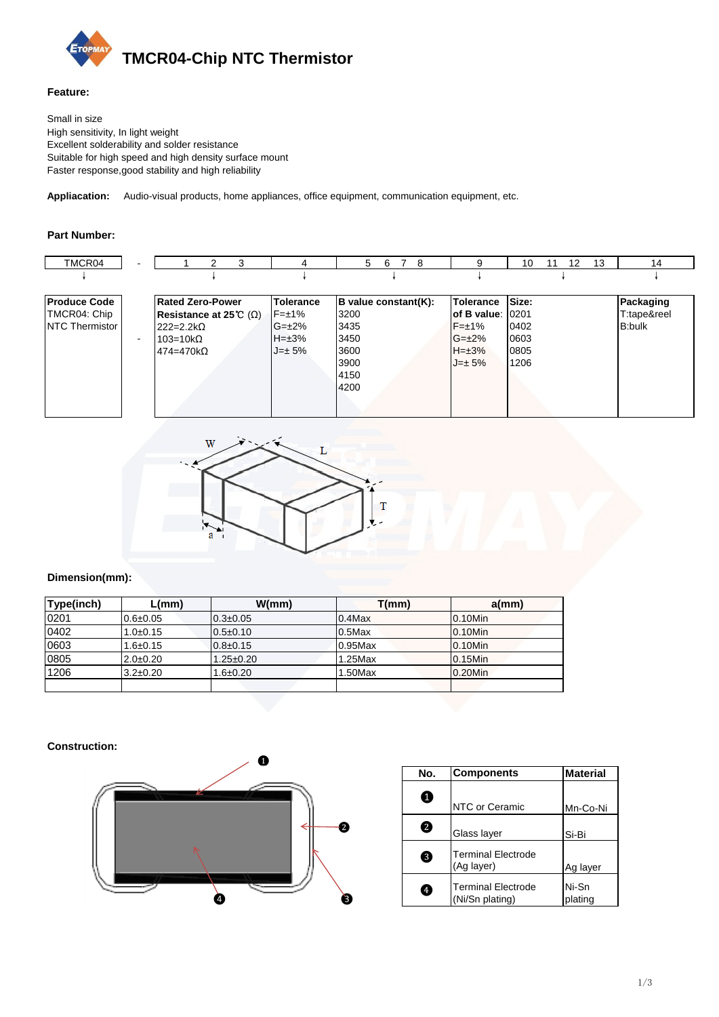

### **Feature:**

Small in size High sensitivity, In light weight Excellent solderability and solder resistance Suitable for high speed and high density surface mount Faster response,good stability and high reliability

**Appliacation:** Audio-visual products, home appliances, office equipment, communication equipment, etc.

## **Part Number:**

| TMCR04                | $\overline{\phantom{a}}$ | 3<br>$\mathcal{P}$             | 4                | 5<br>-6<br>7<br>-8   | 9                | 13<br>10<br>$12 \overline{ }$<br>11 | 14            |
|-----------------------|--------------------------|--------------------------------|------------------|----------------------|------------------|-------------------------------------|---------------|
|                       |                          |                                |                  |                      |                  |                                     |               |
| <b>Produce Code</b>   |                          | <b>Rated Zero-Power</b>        | <b>Tolerance</b> | B value constant(K): | <b>Tolerance</b> | Size:                               | Packaging     |
| TMCR04: Chip          |                          | Resistance at 25 °C $(\Omega)$ | $F = \pm 1\%$    | 3200                 | lof B value:     | 0201                                | T:tape&reel   |
| <b>NTC Thermistor</b> |                          | $222 = 2.2 k\Omega$            | $G=\pm 2\%$      | 3435                 | $F=\pm 1\%$      | 0402                                | <b>B:bulk</b> |
|                       | $\blacksquare$           | $103=10k\Omega$                | $H=\pm 3\%$      | 3450                 | $G=\pm 2\%$      | 0603                                |               |
|                       |                          | $474 = 470k$                   | $J=\pm 5\%$      | 3600                 | $H=\pm 3%$       | 0805                                |               |
|                       |                          |                                |                  | 3900                 | $J=\pm 5\%$      | 1206                                |               |
|                       |                          |                                |                  | 4150                 |                  |                                     |               |
|                       |                          |                                |                  | 4200                 |                  |                                     |               |
|                       |                          |                                |                  |                      |                  |                                     |               |
|                       |                          |                                |                  |                      |                  |                                     |               |



# **Dimension(mm):**

| Type(inch) | L(mm)          | W/mm            | T(mm)      | $a$ (mm)   |
|------------|----------------|-----------------|------------|------------|
| 0201       | $0.6 + 0.05$   | $0.3 \pm 0.05$  | $0.4$ Max  | 0.10Min    |
| 0402       | $1.0 + 0.15$   | $0.5 \pm 0.10$  | $0.5$ Max  | 0.10Min    |
| 0603       | $1.6 \pm 0.15$ | $0.8 \pm 0.15$  | $0.95$ Max | 0.10Min    |
| 0805       | $2.0 \pm 0.20$ | $1.25 \pm 0.20$ | $1.25$ Max | $0.15$ Min |
| 1206       | $3.2 \pm 0.20$ | $.6 \pm 0.20$   | 1.50Max    | 0.20Min    |
|            |                |                 |            |            |

#### **Construction:**



|   | No.       | <b>Components</b>                            | <b>Material</b>  |  |  |
|---|-----------|----------------------------------------------|------------------|--|--|
|   | ❶         | NTC or Ceramic                               | Mn-Co-Ni         |  |  |
| € | 2         | Glass layer                                  | Si Bi            |  |  |
|   | 3         | <b>Terminal Electrode</b><br>(Ag layer)      | Ag layer         |  |  |
| 3 | $\bullet$ | <b>Terminal Electrode</b><br>(Ni/Sn plating) | Ni-Sn<br>plating |  |  |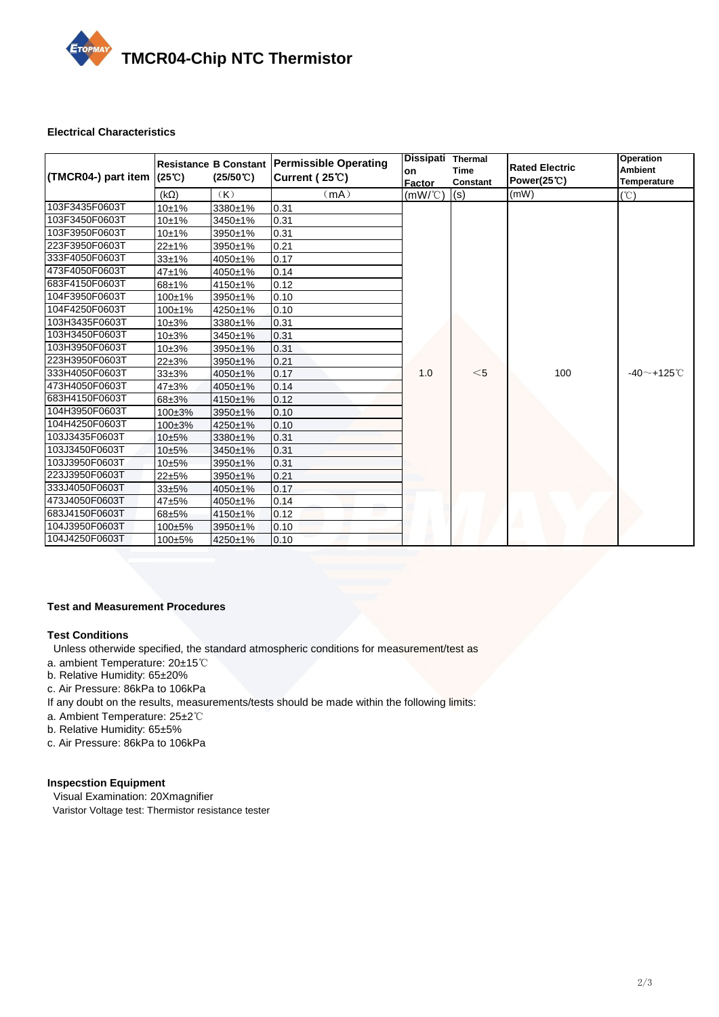

#### **Electrical Characteristics**

| (TMCR04-) part item | $(25^{\circ}\mathrm{C})$ | Resistance B Constant<br>$(25/50^{\circ}C)$ | <b>Permissible Operating</b><br>Current (25°C) | Dissipati Thermal<br>on<br>Factor | Time<br>Constant | <b>Rated Electric</b><br>Power(25 C) | <b>Operation</b><br><b>Ambient</b><br><b>Temperature</b> |
|---------------------|--------------------------|---------------------------------------------|------------------------------------------------|-----------------------------------|------------------|--------------------------------------|----------------------------------------------------------|
|                     | $(k\Omega)$              | (K)                                         | (mA)                                           | $(mW/\mathcal{C})$                | (s)              | (mW)                                 | (°C)                                                     |
| 103F3435F0603T      | 10±1%                    | 3380±1%                                     | 0.31                                           |                                   |                  |                                      |                                                          |
| 103F3450F0603T      | 10±1%                    | 3450±1%                                     | 0.31                                           |                                   |                  |                                      |                                                          |
| 103F3950F0603T      | 10±1%                    | 3950±1%                                     | 0.31                                           |                                   |                  |                                      |                                                          |
| 223F3950F0603T      | $22 + 1%$                | 3950±1%                                     | 0.21                                           |                                   |                  |                                      |                                                          |
| 333F4050F0603T      | $33 + 1%$                | 4050±1%                                     | 0.17                                           |                                   |                  |                                      |                                                          |
| 473F4050F0603T      | $47 + 1%$                | 4050±1%                                     | 0.14                                           |                                   |                  |                                      |                                                          |
| 683F4150F0603T      | $68 + 1%$                | 4150±1%                                     | 0.12                                           |                                   |                  |                                      |                                                          |
| 104F3950F0603T      | 100±1%                   | 3950±1%                                     | 0.10                                           |                                   |                  |                                      |                                                          |
| 104F4250F0603T      | $100+1%$                 | 4250±1%                                     | 0.10                                           |                                   |                  |                                      |                                                          |
| 103H3435F0603T      | $10 + 3%$                | 3380±1%                                     | 0.31                                           |                                   |                  |                                      |                                                          |
| 103H3450F0603T      | $10 + 3%$                | 3450±1%                                     | 0.31                                           |                                   |                  |                                      |                                                          |
| 103H3950F0603T      | $10 + 3%$                | 3950±1%                                     | 0.31                                           |                                   |                  |                                      |                                                          |
| 223H3950F0603T      | $22 + 3%$                | 3950±1%                                     | 0.21                                           |                                   |                  |                                      |                                                          |
| 333H4050F0603T      | $33 + 3%$                | 4050±1%                                     | 0.17                                           | 1.0                               | $<$ 5            | 100                                  | -40 $\sim$ +125 $^\circ$ C                               |
| 473H4050F0603T      | $47 + 3%$                | 4050±1%                                     | 0.14                                           |                                   |                  |                                      |                                                          |
| 683H4150F0603T      | 68±3%                    | 4150±1%                                     | 0.12                                           |                                   |                  |                                      |                                                          |
| 104H3950F0603T      | $100 \pm 3\%$            | 3950±1%                                     | 0.10                                           |                                   |                  |                                      |                                                          |
| 104H4250F0603T      | $100 + 3%$               | 4250±1%                                     | 0.10                                           |                                   |                  |                                      |                                                          |
| 103J3435F0603T      | $10 + 5%$                | 3380±1%                                     | 0.31                                           |                                   |                  |                                      |                                                          |
| 103J3450F0603T      | $10 + 5%$                | 3450±1%                                     | 0.31                                           |                                   |                  |                                      |                                                          |
| 103J3950F0603T      | $10 + 5%$                | 3950±1%                                     | 0.31                                           |                                   |                  |                                      |                                                          |
| 223J3950F0603T      | $22 + 5%$                | 3950±1%                                     | 0.21                                           |                                   |                  |                                      |                                                          |
| 333J4050F0603T      | $33 + 5%$                | 4050±1%                                     | 0.17                                           |                                   |                  |                                      |                                                          |
| 473J4050F0603T      | 47±5%                    | 4050±1%                                     | 0.14                                           |                                   |                  |                                      |                                                          |
| 683J4150F0603T      | 68±5%                    | 4150±1%                                     | 0.12                                           |                                   |                  |                                      |                                                          |
| 104J3950F0603T      | $100 + 5%$               | 3950±1%                                     | 0.10                                           |                                   |                  |                                      |                                                          |
| 104J4250F0603T      | 100±5%                   | 4250±1%                                     | 0.10                                           |                                   |                  |                                      |                                                          |

#### **Test and Measurement Procedures**

### **Test Conditions**

- Unless otherwide specified, the standard atmospheric conditions for measurement/test as
- a. ambient Temperature: 20±15℃
- b. Relative Humidity: 65±20%
- c. Air Pressure: 86kPa to 106kPa
- If any doubt on the results, measurements/tests should be made within the following limits:
- a. Ambient Temperature: 25±2℃
- b. Relative Humidity: 65±5%
- c. Air Pressure: 86kPa to 106kPa

#### **Inspecstion Equipment**

 Visual Examination: 20Xmagnifier Varistor Voltage test: Thermistor resistance tester